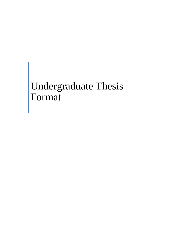# Undergraduate Thesis Format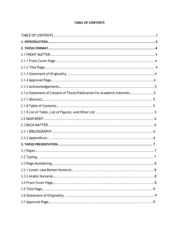#### **TABLE OF CONTENTS**

| 2.1.6 Statement of Consent of Thesis Publication for Academic Interests 5 |            |
|---------------------------------------------------------------------------|------------|
|                                                                           |            |
|                                                                           |            |
|                                                                           |            |
|                                                                           |            |
|                                                                           |            |
|                                                                           |            |
|                                                                           |            |
|                                                                           |            |
|                                                                           |            |
|                                                                           |            |
| 3.3 Page Numbering                                                        | $\ldots 8$ |
|                                                                           |            |
|                                                                           |            |
|                                                                           |            |
|                                                                           |            |
|                                                                           |            |
|                                                                           |            |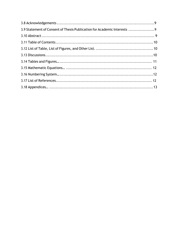| 3.9 Statement of Consent of Thesis Publication for Academic Interests 9 |  |
|-------------------------------------------------------------------------|--|
|                                                                         |  |
|                                                                         |  |
|                                                                         |  |
|                                                                         |  |
|                                                                         |  |
|                                                                         |  |
|                                                                         |  |
|                                                                         |  |
|                                                                         |  |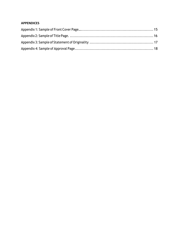# **APPENDICES**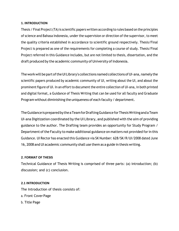#### <span id="page-4-0"></span>**1. INTRODUCTION**

Thesis / Final Project (TA) is scientific papers written according to rules based on the principles of science and Bahasa Indonesia, under the supervision or direction of the supervisor, to meet the quality criteria established in accordance to scientific ground respectively. Thesis/Final Project is prepared as one of the requirements for completing a course of study. Thesis/Final Project referred in this Guidance includes, but are not limited to thesis, dissertation, and the draft produced by the academic community of University of Indonesia.

The work will be part of the UI Library's collections named collections of UI-ana, namely the scientific papers produced by academic community of UI, writing about the UI, and about the prominent figure of UI. In an effort to document the entire collection of UI-ana, in both printed and digital format, a Guidance of Thesis Writing that can be used for all faculty and Graduate Program without diminishing the uniqueness of each faculty / department.

TheGuidanceispreparedbytheaTeamforDraftingGuidanceforThesisWritingandaTeam UI‐ana Digitization coordinated by the UI Library, and published with the aim of providing guidance to the author. The Drafting team provides an opportunity for Study Program / Department of the Faculty to make additional guidance on matters not provided for in this Guidance. UI Rector has enacted this Guidance via SK Number: 628/SK/R/UI/2008 dated June 16, 2008 and UI academic community shall use them as a guide in thesis writing.

## **2. FORMAT OF THESIS**

Technical Guidance of Thesis Writing is comprised of three parts: (a) introduction; (b) discussion; and (c) conclusion.

## **2.1 INTRODUCTION**

The Introduction of thesis consists of:

- a. Front Cover Page
- b. Title Page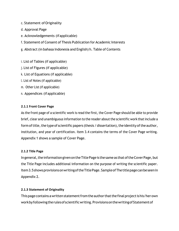c. Statement ofOriginality

- d. Approval Page
- e. Acknowledgements (ifapplicable)
- f. Statement of Consent of Thesis Publication for Academic Interests
- g. Abstract (in bahasa Indonesia and English) h. Table of Contents
- i. List of Tables (if applicable)
- j. List of Figures (if applicable)
- k. List of Equations (if applicable)
- l. List of Notes (if applicable)
- m. Other List (if applicable)
- n. Appendices (ifapplicable)

## <span id="page-5-0"></span>**2.1.1 Front Cover Page**

As the front page of a scientific work is read the first, the Cover Page should be able to provide brief, clear and unambiguous information to the reader about the scientific work that include a form of title, the type of scientific papers (thesis / dissertation), the identity of the author, institution, and year of certification. Item 3.4 contains the terms of the Cover Page writing. Appendix 1 shows a sample of Cover Page.

#### <span id="page-5-1"></span>**2.1.2 Title Page**

In general, the information given on the Title Page is the same as that of the Cover Page, but the Title Page includes additional information on the purpose of writing the scientific paper. Item3.5showsprovisionsonwritingoftheTitlePage.SampleofThetitlepagecanbeseenin Appendix 2.

## <span id="page-5-2"></span>**2.1.3 Statement of Originality**

This page contains a written statement from the author that the final project is his/her own work by following the rules of scientific writing. Provisions on the writing of Statement of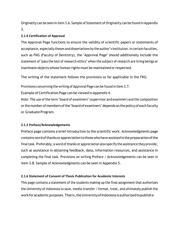Originality can be seen in item 3.6. Sample of Statement of Originality can be found in Appendix 3.

# **2.1.4 Certification of Approval**

The Approval Page functions to ensure the validity of scientific papers or statements of acceptance, especially theses and dissertations by the author's institution. In certain faculties, such as FKG (Faculty of Dentistry), the "Approval Page" should additionally include the statement of "pass the test of research ethics" when the subject of research are living beings or inanimate objects whose human rights must be maintained or respected.

The writing of the statement follows the provisions so far applicable in the FKG.

Provisions concerning the writing of Approval Page can be found in item 3.7.

Example of Certification Page can be viewed in Appendix 4.

Note: The use of the term "board of examiners" (supervisor and examiner) and the composition or the number of members of the "board of examiners" depends on the policy of each faculty or Graduate Program.

# **2.1.5 Preface/Acknowledgements**

Preface page contains a brief introduction to the scientific work. Acknowledgments page containswordofthanksorappreciationtothosewhohaveassistedinthepreparationofthe final task. Preferably, a word of thanks or appreciation also specify the assistance they provide, such as assistance in obtaining feedback, data, information resources, and assistance in completing the final task. Provisions on writing Preface / Acknowledgements can be seen in item 3.8. Sample of Acknowledgments can be seen in Appendix 5.

# <span id="page-6-0"></span>**2.1.6 Statement of Consent of Thesis Publication for Academic Interests**

This page contains a statement of the students making up the final assignment that authorizes the University of Indonesia to save, media‐transfer / format, treat, and ultimately publish the work for academic purposes. That is, the University of Indonesia is authorized to publish a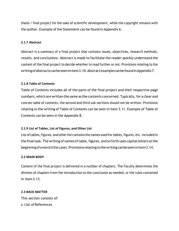thesis / final project for the sake of scientific development, while the copyright remains with the author. Example of the Statement can be found in Appendix 6.

#### <span id="page-7-0"></span>**2.1.7 Abstract**

Abstract is a summary of a final project that contains issues, objectives, research methods, results, and conclusions. Abstract is made to facilitate the reader quickly understand the content of the final project to decide whether to read further or not. Provisions relating to the writingofabstractscanbeseeninitem3.10.AbstractexamplecanbefoundinAppendix7.

#### <span id="page-7-1"></span>**2.1.8 Table of Contents**

Table of Contents includes all of the parts of the final project and their respective page numbers, which are written the same as the contents concerned. Typically, for a clear and concise table of contents, the second and third sub‐sections should not be written. Provisions relating to the writing of Table of Contents can be seen in item 3.11. Example of Table of Contents can be seen in the Appendix 8.

## **2.1.9 List of Tables, List of Figures, and Other List**

List of tables, figures, and other list contains the names used for tables, figures, etc. included in the final task. The writing of names of table, figures, and so forth uses capital letters at the beginning of a word (title case). Provisions relating to the writing can be seen in item 3.14.

#### <span id="page-7-2"></span>**2.2 MAIN BODY**

Content of the final project is delivered in a number of chapters. The Faculty determines the division of chapters from the introduction to the conclusion as needed, or the rules contained in item 3.13.

#### <span id="page-7-3"></span>**2.3 BACK MATTER**

This section consists of: a. List of References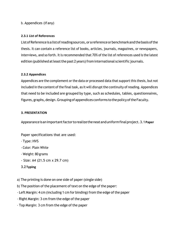## b. Appendices (ifany)

#### **2.3.1 List of References**

ListofReferenceisalistofreadingsources,orareferenceorbenchmarkandthebasisofthe thesis. It can contain a reference list of books, articles, journals, magazines, or newspapers, interviews, and so forth. It is recommended that 70% of the list of references used is the latest edition (published at least the past 2 years) from international scientific journals.

#### <span id="page-8-0"></span>**2.3.2 Appendices**

Appendices are the complement or the data or processed data that support this thesis, but not included in the content of the final task, as it will disrupt the continuity of reading. Appendices that need to be included are grouped by type, such as schedules, tables, questionnaires, figures, graphs, design. Grouping of appendices conforms to the policy of the Faculty.

#### **3. PRESENTATION**

Appearanceisanimportantfactortorealizetheneatanduniformfinalproject.3.1**Paper**

Paper specifications that are used:

- ‐ Type: HVS
- ‐ Color: Plain White
- ‐ Weight: 80 grams
- ‐ Size: A4 (21.5 cm x 29.7 cm)
- <span id="page-8-1"></span>**3.2 Typing**

a) The printing is done on one side of paper (single side)

- b) The position of the placement of text on the edge of the paper:
- Left Margin: 4 cm (including 1 cm for binding) from the edge of the paper
- ‐ Right Margin: 3 cm from the edge of the paper
- ‐ Top Margin: 3 cm from the edge of the paper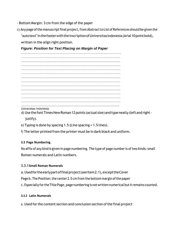- ‐ Bottom Margin: 3 cm from the edge of the paper
- c) Any page of the manuscript final project, from Abstract to List of References should be given the "autotext" in the footer with the inscription of Universitas Indonesia (Arial 10 point bold), written in the align right position.

## *Figure: Position for Text Placing on Margin of Paper*

…..……………………………………………………………………… …………………………………………………………………………. …………………………………………………………………………. …………………………………………………………………………. …………………………………………………………………………. …………………………………………………………………………. …………………………………………………………………………. …………………………………………………………………………. …………………………………………………………………………. …………………………………………………………………………. …………………………………………………………………………. …………………………………………………………………………. …………………………………………………………………………. …………………………………………………………………………

Universitas Indonesia

d) Use the font Times New Roman 12 points (actual size) and type neatly (left and right justify).

- e) Typing is done by spacing 1.5 (Line spacing = 1.5 lines).
- f) The letter printed from the printer must be in dark black and uniform.

#### <span id="page-9-0"></span>**3.3 Page Numbering**

No affix of any kind is given in page numbering. The type of page number is of two kinds: small Roman numerals and Latin numbers.

#### **3.3.1Small Roman Numerals**

- a.Usedfortheearlypartoffinalproject(seeitem2.1),excepttheCover
- Page b. The Position: the center 2.5 cm from the bottom margin of the paper
- c. Especially for the Title Page, page numbering is not written numerical but it remains counted.

#### **3.3.2 Latin Numerals**

a. Used for the content section and conclusion section of the final project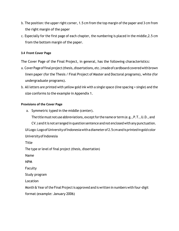- b. The position: the upper right corner, 1.5 cm from the top margin of the paper and 3 cm from the right margin of the paper
- c. Especially for the first page of each chapter, the numbering is placed in the middle,2.5 cm from the bottom margin of the paper.

## <span id="page-10-0"></span>**3.4 Front Cover Page**

The Cover Page of the Final Project, in general, has the following characteristics:

- a. Cover Page of final project (thesis, dissertations, etc.) made of cardboard covered with brown linen paper (for the Thesis / Final Project of Master and Doctoral programs), white (for undergraduate programs).
- b. All letters are printed with yellow gold ink with a single space (line spacing = single) and the size conforms to the example in Appendix 1.

## **Provisions of the Cover Page**

a. Symmetric typed in the middle (center).

The title must not use abbreviations, except for the name or term (e.g., P.T., U.D., and

CV.) and it is not arranged in question sentence and not enclosed with any punctuation. UILogo: Logo of University of Indonesia with a diameter of 2.5 cm and is printed in gold color University of Indonesia

Title

The type or level of final project (thesis, dissertation)

Name

NPM

Faculty

Study program

Location

Month & Year of the Final Project is approved and is written in numbers with four-digit format (example: January 2006)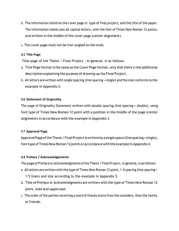- b. The information listed on the cover page is: type of final project, and the title of the paper. The information listed uses all capital letters, with the font of Times New Roman 12 points, and written in the middle of the cover page (center alignment).
- c. The cover page must not be iron‐angled on the ends.

#### <span id="page-11-0"></span>**3.5 Title Page**

Title page of the Thesis / Final Project , in general, is as follows:

- a. Title Page format is the same as the Cover Page format, only that there is the additional description explaining the purpose of drawing up the Final Project.
- b. All letters are written with single spacing (line spacing = single) and the size conforms to the example in Appendix 2.

## <span id="page-11-1"></span>**3.6 Statement of Originality**

The page of Originality Statement written with double spacing (line spacing = double), using font type of Times New Roman 12 point with a position in the middle of the page (center alignment) in accordance with the example in Appendix 3.

#### <span id="page-11-2"></span>**3.7 Approval Page**

Approval Page of the Thesis / Final Project is written by a single space (line spacing = single), font type of Times New Roman 12 points in accordance with the example in Appendix 4.

## **3.8 Preface / Acknowledgements**

The page of Preface or Acknowledgments of the Thesis / Final Project, in general, is as follows:

- a. All letters are written with the type of Times New Roman 12 point, 1.5 spacing (line spacing = 1.5 lines) and size according to the example in Appendix 5.
- b. Title of Preface or Acknowledgments are written with the type of Times New Roman 12 point, bold and uppercase.
- c. The order of the parties receiving a word of thanks starts from the outsiders, then the family or friends.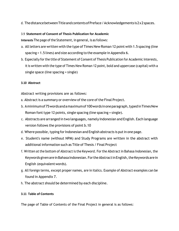d. ThedistancebetweenTitleandcontentsofPreface/Acknowledgements is2x2spaces.

# 3.9 **Statement of Consent of Thesis Publication for Academic**

**Interests** The page of the Statement, in general, is as follows:

- a. All letters are written with the type of Times New Roman 12 point with 1.5 spacing (line spacing = 1.5 lines) and size according to the example in Appendix 6.
- b. Especially for the title of Statement of Consent of Thesis Publication for Academic Interests, it is written with the type of Times New Roman 12 point, bold and uppercase (capital) with a single space (line spacing = single)

# **3.10 Abstract**

Abstract writing provisions are as follows:

- a. Abstract is a summary or overview of the core of the Final Project.
- b. Aminimumof75wordsandamaximumof100wordsinoneparagraph,typedinTimesNew Roman font type 12 points, single spacing (line spacing = single).
- c. Abstracts are arranged in two languages, namely Indonesian and English. Each language version follows the provisions of point b.10
- d. Where possible, typing for Indonesian and English abstracts is put in one page.
- e. Student's name (without NPM) and Study Programs are written in the abstract with additional information such as Title of Thesis / Final Project
- f. Written at the bottom of Abstract is the Keyword. For the Abstract in Bahasa Indonesian, the Keywords given are in Bahasa Indonesian. For the Abstract in English, the Keywords are in English (equivalentwords).
- g. All foreign terms, except proper names, are in italics. Example of Abstract examples can be found in Appendix 7.
- h. The abstract should be determined by each discipline.

## **3.11 Table of Contents**

The page of Table of Contents of the Final Project in general is as follows: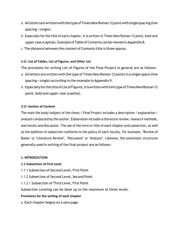- a. AlllettersarewrittenwiththetypeofTimesNewRoman12pointwithsinglespacing(line spacing =single).
- b. Especially for the title of each chapter, it is written in Times New Roman 12 point, bold and upper case (capital). Example of Table of Contents can be viewed in Appendix 8.
- c. The distance between the content of Contents title is three spaces.

## **3.12 List of Tables, List of Figures, and Other List**

The provisions for writing List of Figures of the Final Project in general are as follows:

- a. All letters are written with the type of Times New Roman 12 points in a single space (line spacing = single) according to the example in Appendix 9.
- b. EspeciallyforthetitleofListofFigures,itiswrittenwithfonttypeofTimesNewRoman12 point, bold and upper case (capital).

#### **3.13 Section of Content**

The main the body/subject of the thesis / Final Project includes a description / explanation / analysis conducted by the author. Elaboration includes a literature review, research methods, and results and discussion. The use of the term or title of each chapter and subsection, as well as the addition of subsection conforms to the policy of each faculty. For example, "Review of Books" or "Literature Review", "Discussion" or "Analysis". Likewise, the systematic structures generally used in writing of the final project are as follows:

#### **1. INTRODUCTION**

## **1.1 Subsection of First Level**

- 1.1.1 Subsection of Second Level, First Point
- 1.1.2 Subsection of Second Level, Second Point
- 1.1.2.1 Subsection of Third Level, First Point

Subsection Leveling can be done up to the maximum of three levels.

#### **Provisions for the writing of each chapter**

a. Each chapter begins on a new page.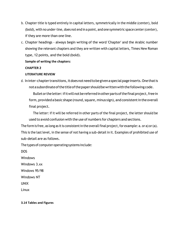- b. Chapter title is typed entirely in capital letters, symmetrically in the middle (center), bold (bold), with no under‐line, does not end in a point, and one symmetric space center(center), if they are more than one line.
- c. Chapter headings ‐ always begin writing of the word 'Chapter' and the Arabic number showing the relevant chapters and they are written with capital letters, Times New Roman type, 12 points, and the bold (bold).

## **Sample of writing the chapters:**

## **CHAPTER 2**

## **LITERATURE REVIEW**

d. In inter-chapter transitions, it does not need to be given a special page inserts. One that is not a subordinate of the title of the paper should be written with the following code.

Bullet or the letter: if it will not be referred in other parts of the final project, free in form, provided a basic shape (round, square, minus sign), and consistent in the overall final project.

The letter: if it will be referred in other parts of the final project, the letter should be used to avoid confusion with the use of numbers for chapters and sections.

The form is free, as long as it is consistent in the overall final project, for example:  $a$ . or  $a$ ) or  $(a)$ . This is the last level, in the sense of not having a sub‐detail in it. Examples of prohibited use of sub‐detail are as follows.

The types of computer operating systems include:

DOS

Windows

Windows 3.xx

Windows 95/98

Windows NT

UNIX

Linux

#### **3.14 Tables and Figures**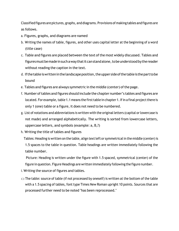Classifiedfigures are pictures, graphs, and diagrams. Provisions of making tables andfigures are as follows.

- a. Figures, graphs, and diagrams are named
- b. Writing the names of table, figures, and other uses capital letter at the beginning of a word (title case)
- c. Table and figures are placed between the text of the most widely discussed. Tables and figuresmustbemadeinsuchawaythatitcanstandalone,tobeunderstoodbythereader without reading the caption in the text.
- d. Ifthetableiswritteninthelandscapeposition,theupper sideofthetableis theparttobe bound
- e. Tables and figures are always symmetric in the middle (center) of the page.
- f. Number of tables and figures should include the chapter number's tables and figures are located. For example, table 1.1 means the first table in chapter 1. If in a final project there is only 1 (one) table or a figure, it does not need to be numbered.
- g. List of notations and abbreviations is written with the original letters (capital orlowercase is not made) and arranged alphabetically. The writing is sorted from lowercase letters, uppercase letters, and symbols (example: a, B,?)
- h. Writing the title of tables and figures

Tables: Heading is written on the table, align text left or symmetrical in the middle (center) is 1.5 spaces to the table in question. Table headings are written immediately following the table number.

Picture: Heading is written under the figure with 1.5 spaced, symmetrical (center) of the figure in question. Figure Headings are written immediately following the figure number.

- i. Writing the source of figures and tables.
- $\square$  The table: source of table (if not processed by oneself) is written at the bottom of the table with a 1.5 spacing of tables, font type Times New Roman upright 10 points. Sources that are processed further need to be noted "has been reprocessed."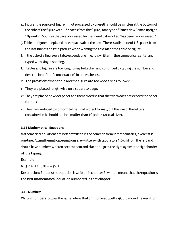- $\Box$  Figure: the source of figure (if not processed by oneself) should be written at the bottom of the title of the figure with 1.5 spaces from the figure, font type of Times New Roman upright 10points ..Sources thatareprocessedfurtherneedtobenoted"hasbeenreprocessed."
- j. Tables or figures are placed three spaces after the text. There is a distance of 1.5 spaces from the last line of the title picture when writing the text after the table or figure.
- k. If the title of a figure or a table exceeds one line, it is written in the symmetrical center and typed with single spacing.
- l. Iftables and figures are too long, it may be broken and continued by typing the number and description of the "continuation" in parentheses.
- m. The provisions when table and the figure are too wide are as follows:
- $\Box$  They are placed lengthwise on a separate page;
- $\Box$  They are placed on wider paper and then folded so that the width does not exceed the paper format;
- $\square$  The size is reduced to conform to the Final Project format, but the size of the letters contained in it should not be smaller than 10 points (actual size).

## **3.15 Mathematical Equations**

Mathematical equations are better written in the common form in mathematics, even if it is oneline.Allmathematicalequationsarewrittenwithtabulators1.5cmfromtheleftand should have numbers written next to them and placed align to the right against the right border of the typing.

Example:

M Q 209 43, 530 + = (5.1)

Description: 5 means the equation is written in chapter 5, while 1 means that the equation is the first mathematical equation numbered in that chapter.

#### **3.16 Numbers**

WritingnumbersfollowsthesameruleasthatonImprovedSpellingGuidanceofnewedition.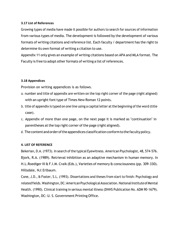#### **3.17 List of References**

Growing types of media have made it possible for authors to search for sources of information from various types of media. The development is followed by the development of various formats of writing citations and reference list. Each faculty / department has the right to determine its own format of writing a citation to use.

Appendix 11 only gives an example of writing citations based on APA and MLA format. The Faculty is free to adopt other formats of writing a list of references.

## **3.18 Appendices**

Provision on writing appendices is as follows.

- a. number and title of appendix are written on the top right corner of the page (right aligned) with an upright font type of Times New Roman 12 points.
- b. title of appendix is typed on one line using a capital letter at the beginning of the word (title case).
- c. Appendix of more than one page, on the next page it is marked as "continuation" in parentheses at the top right corner of the page (right aligned).
- d. The content and order of the appendices classification conform to the faculty policy.

## **4. LIST OF REFERENCE**

Bekerian, D.A. (1973). In search of the typical Eyewitness. American Psychologist, 48, 574‐576. Bjork, R.A. (1989). Retrieval inhibition as an adaptive mechanism in human memory. In H.L.Roediger III & F.I.M. Craik (Eds.), Varieties of memory & consciousness (pp. 309‐330). Hillsdale, NJ:Erlbaum.

Cone, J.D., & Foster, S.L. (1993). Dissertations and theses from start to finish: Psychology and related fields. Washington, DC: American Psychological Association. National Institute of Mental Health. (1990). Clinical training in serious mental illness (DHHS Publication No. ADM 90‐1679). Washington, DC: U. S. Government Printing Office.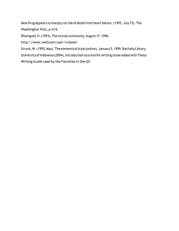New Drug Appears to sharply cut risk of death from heart failure. (1993, July 15). The

Washington Post, p.A12.

Rheingold,H.(1993).Thevirtualcommunity.August17,1996.

http://www.wellcom/user/vcbook/

Strunk,W.(1995,May).Theelementsof style(online).January5,1999.BartlebyLibrary.

University of Indonesia (2004). Introduction to scientific writing (to be added with Thesis Writing Guide used by the Faculties in the UI)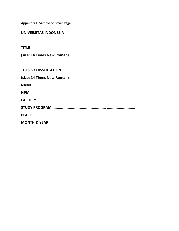**Appendix 1: Sample of Cover Page**

**UNIVERSITAS INDONESIA**

**TITLE**

**(size: 14 Times New Roman)**

**THESIS / DISSERTATION**

**(size: 14 Times New Roman)** 

**NAME**

**NPM**

**FACULTY ................................................. ................**

**STUDY PROGRAM ................................................. ..........................**

**PLACE**

**MONTH & YEAR**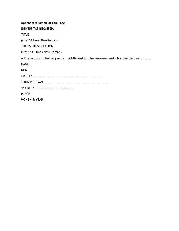**Appendix 2: Sample of Title Page** UNIVERSITAS INDONESIA TITLE (size: 14 Times New Roman) THESIS /DISSERTATION (size: 14 Times New Roman) A thesis submitted in partial fulfillment of the requirements for the degree of ….. NAME NPM FACULTY ................................................. ................... STUDY PROGRAM................................................ ............. SPECIALITY ....................................... PLACE MONTH & YEAR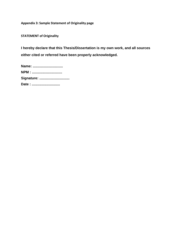**Appendix 3: Sample Statement of Originality page** 

**STATEMENT of Originality**

**I hereby declare that this Thesis/Dissertation is my own work, and all sources either cited or referred have been properly acknowledged.**

| Name:        |
|--------------|
| <b>NPM: </b> |
| Signature:   |
| Date:        |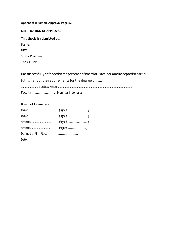#### **Appendix 4: Sample Approval Page (S1)**

#### **CERTIFICATION OF APPROVAL**

This thesis is submitted by:

Name:

NPM:

Study Program:

Thesis Title:

Has successfully defendedin the presence of Board of Examiners and accepted in partial

fulfillment of the requirements for the degree of.......

........................ at the Study Program..........................................................................................................,

Faculty ................. , Universitas Indonesia

#### Board of Examiners

| Advisor:  | $(Signed \dots \dots \dots \dots \dots \dots)$ |
|-----------|------------------------------------------------|
|           | $(Signed \dots \dots \dots \dots \dots \dots)$ |
|           |                                                |
| Examiner: | $(Signed \dots \dots \dots \dots \dots)$       |
|           |                                                |
| Date:     |                                                |